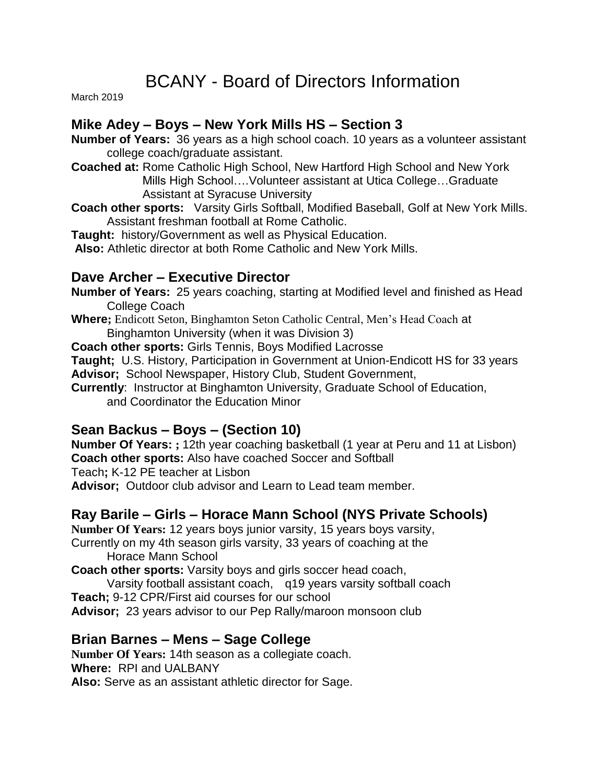# BCANY - Board of Directors Information

March 2019

### **Mike Adey – Boys – New York Mills HS – Section 3**

**Number of Years:** 36 years as a high school coach. 10 years as a volunteer assistant college coach/graduate assistant.

- **Coached at:** Rome Catholic High School, New Hartford High School and New York Mills High School….Volunteer assistant at Utica College…Graduate Assistant at Syracuse University
- **Coach other sports:** Varsity Girls Softball, Modified Baseball, Golf at New York Mills. Assistant freshman football at Rome Catholic.

**Taught:** history/Government as well as Physical Education.

**Also:** Athletic director at both Rome Catholic and New York Mills.

### **Dave Archer – Executive Director**

**Number of Years:** 25 years coaching, starting at Modified level and finished as Head College Coach

**Where;** Endicott Seton, Binghamton Seton Catholic Central, Men's Head Coach at Binghamton University (when it was Division 3)

**Coach other sports:** Girls Tennis, Boys Modified Lacrosse

**Taught;** U.S. History, Participation in Government at Union-Endicott HS for 33 years **Advisor;** School Newspaper, History Club, Student Government,

**Currently**: Instructor at Binghamton University, Graduate School of Education, and Coordinator the Education Minor

### **Sean Backus – Boys – (Section 10)**

**Number Of Years: ;** 12th year coaching basketball (1 year at Peru and 11 at Lisbon) **Coach other sports:** Also have coached Soccer and Softball

Teach**;** K-12 PE teacher at Lisbon

**Advisor;** Outdoor club advisor and Learn to Lead team member.

## **Ray Barile – Girls – Horace Mann School (NYS Private Schools)**

**Number Of Years:** 12 years boys junior varsity, 15 years boys varsity,

Currently on my 4th season girls varsity, 33 years of coaching at the Horace Mann School

**Coach other sports:** Varsity boys and girls soccer head coach,

Varsity football assistant coach, q19 years varsity softball coach **Teach;** 9-12 CPR/First aid courses for our school

**Advisor;** 23 years advisor to our Pep Rally/maroon monsoon club

### **Brian Barnes – Mens – Sage College**

**Number Of Years:** 14th season as a collegiate coach. **Where:** RPI and UALBANY

**Also:** Serve as an assistant athletic director for Sage.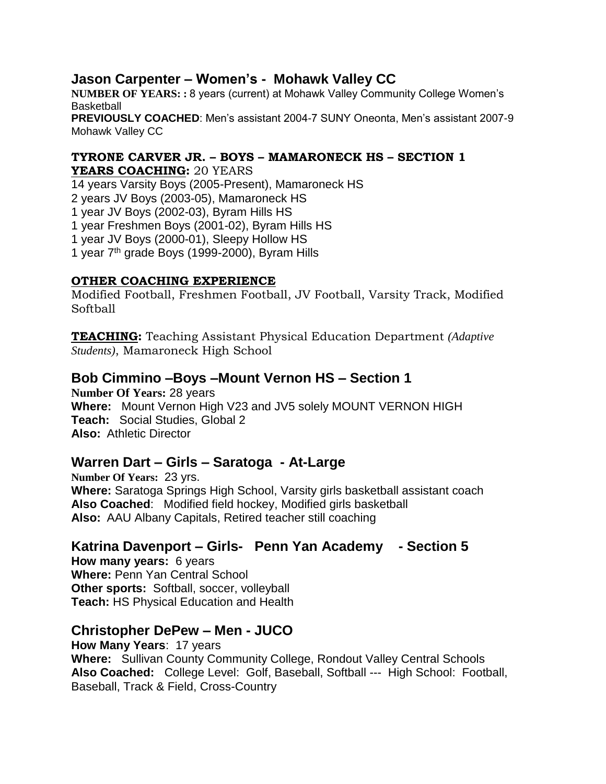#### **Jason Carpenter – Women's - Mohawk Valley CC**

**NUMBER OF YEARS: :** 8 years (current) at Mohawk Valley Community College Women's **Basketball PREVIOUSLY COACHED**: Men's assistant 2004-7 SUNY Oneonta, Men's assistant 2007-9 Mohawk Valley CC

#### **TYRONE CARVER JR. – BOYS – MAMARONECK HS – SECTION 1 YEARS COACHING:** 20 YEARS

14 years Varsity Boys (2005-Present), Mamaroneck HS 2 years JV Boys (2003-05), Mamaroneck HS 1 year JV Boys (2002-03), Byram Hills HS 1 year Freshmen Boys (2001-02), Byram Hills HS 1 year JV Boys (2000-01), Sleepy Hollow HS 1 year 7th grade Boys (1999-2000), Byram Hills

#### **OTHER COACHING EXPERIENCE**

Modified Football, Freshmen Football, JV Football, Varsity Track, Modified Softball

**TEACHING:** Teaching Assistant Physical Education Department *(Adaptive Students)*, Mamaroneck High School

### **Bob Cimmino –Boys –Mount Vernon HS – Section 1**

**Number Of Years:** 28 years **Where:** Mount Vernon High V23 and JV5 solely MOUNT VERNON HIGH **Teach:** Social Studies, Global 2 **Also:** Athletic Director

### **Warren Dart – Girls – Saratoga - At-Large**

**Number Of Years:** 23 yrs. **Where:** Saratoga Springs High School, Varsity girls basketball assistant coach **Also Coached**: Modified field hockey, Modified girls basketball **Also:** AAU Albany Capitals, Retired teacher still coaching

## **Katrina Davenport – Girls- Penn Yan Academy - Section 5**

**How many years:** 6 years **Where:** Penn Yan Central School **Other sports:** Softball, soccer, volleyball **Teach:** HS Physical Education and Health

## **Christopher DePew – Men - JUCO**

**How Many Years**: 17 years **Where:** Sullivan County Community College, Rondout Valley Central Schools **Also Coached:** College Level: Golf, Baseball, Softball --- High School: Football, Baseball, Track & Field, Cross-Country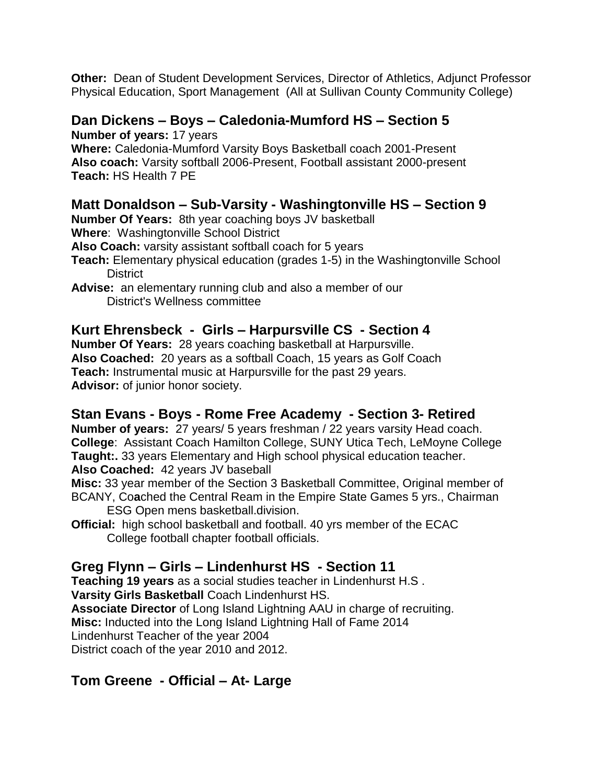**Other:** Dean of Student Development Services, Director of Athletics, Adjunct Professor Physical Education, Sport Management (All at Sullivan County Community College)

### **Dan Dickens – Boys – Caledonia-Mumford HS – Section 5**

**Number of years:** 17 years

**Where:** Caledonia-Mumford Varsity Boys Basketball coach 2001-Present **Also coach:** Varsity softball 2006-Present, Football assistant 2000-present **Teach:** HS Health 7 PE

## **Matt Donaldson – Sub-Varsity - Washingtonville HS – Section 9**

**Number Of Years:** 8th year coaching boys JV basketball

**Where**: Washingtonville School District

**Also Coach:** varsity assistant softball coach for 5 years

- **Teach:** Elementary physical education (grades 1-5) in the Washingtonville School **District**
- **Advise:** an elementary running club and also a member of our District's Wellness committee

### **Kurt Ehrensbeck - Girls – Harpursville CS - Section 4**

**Number Of Years:** 28 years coaching basketball at Harpursville. **Also Coached:** 20 years as a softball Coach, 15 years as Golf Coach **Teach:** Instrumental music at Harpursville for the past 29 years. **Advisor:** of junior honor society.

## **Stan Evans - Boys - Rome Free Academy - Section 3- Retired**

**Number of years:** 27 years/ 5 years freshman / 22 years varsity Head coach. **College**: Assistant Coach Hamilton College, SUNY Utica Tech, LeMoyne College **Taught:.** 33 years Elementary and High school physical education teacher. **Also Coached:** 42 years JV baseball

**Misc:** 33 year member of the Section 3 Basketball Committee, Original member of BCANY, Co**a**ched the Central Ream in the Empire State Games 5 yrs., Chairman ESG Open mens basketball.division.

**Official:** high school basketball and football. 40 yrs member of the ECAC College football chapter football officials.

## **Greg Flynn – Girls – Lindenhurst HS - Section 11**

**Teaching 19 years** as a social studies teacher in Lindenhurst H.S . **Varsity Girls Basketball** Coach Lindenhurst HS. **Associate Director** of Long Island Lightning AAU in charge of recruiting. **Misc:** Inducted into the Long Island Lightning Hall of Fame 2014 Lindenhurst Teacher of the year 2004

District coach of the year 2010 and 2012.

## **Tom Greene - Official – At- Large**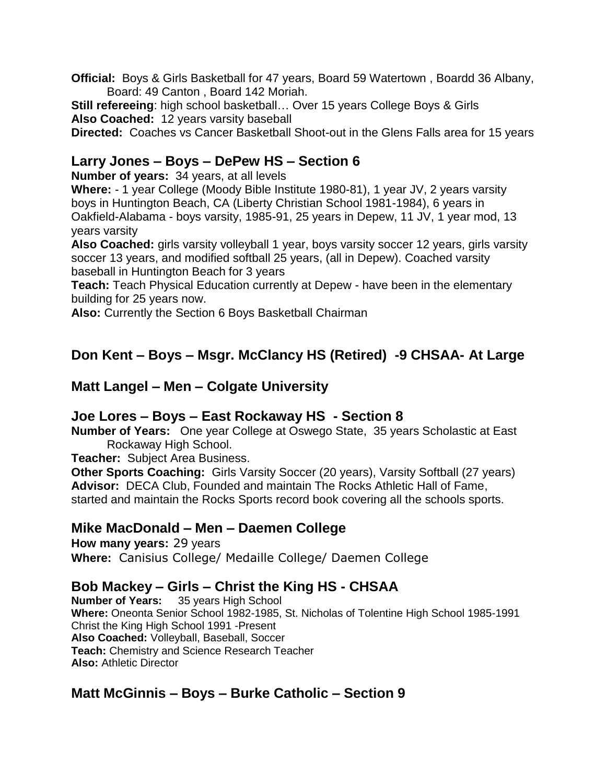**Official:** Boys & Girls Basketball for 47 years, Board 59 Watertown , Boardd 36 Albany, Board: 49 Canton , Board 142 Moriah.

**Still refereeing**: high school basketball… Over 15 years College Boys & Girls **Also Coached:** 12 years varsity baseball

**Directed:** Coaches vs Cancer Basketball Shoot-out in the Glens Falls area for 15 years

### **Larry Jones – Boys – DePew HS – Section 6**

**Number of years:** 34 years, at all levels

**Where:** - 1 year College (Moody Bible Institute 1980-81), 1 year JV, 2 years varsity boys in Huntington Beach, CA (Liberty Christian School 1981-1984), 6 years in Oakfield-Alabama - boys varsity, 1985-91, 25 years in Depew, 11 JV, 1 year mod, 13 years varsity

Also Coached: girls varsity volleyball 1 year, boys varsity soccer 12 years, girls varsity soccer 13 years, and modified softball 25 years, (all in Depew). Coached varsity baseball in Huntington Beach for 3 years

**Teach:** Teach Physical Education currently at Depew - have been in the elementary building for 25 years now.

**Also:** Currently the Section 6 Boys Basketball Chairman

## **Don Kent – Boys – Msgr. McClancy HS (Retired) -9 CHSAA- At Large**

#### **Matt Langel – Men – Colgate University**

### **Joe Lores – Boys – East Rockaway HS - Section 8**

**Number of Years:** One year College at Oswego State, 35 years Scholastic at East Rockaway High School.

**Teacher:** Subject Area Business.

**Other Sports Coaching:** Girls Varsity Soccer (20 years), Varsity Softball (27 years) **Advisor:** DECA Club, Founded and maintain The Rocks Athletic Hall of Fame, started and maintain the Rocks Sports record book covering all the schools sports.

### **Mike MacDonald – Men – Daemen College**

**How many years:** 29 years **Where:** Canisius College/ Medaille College/ Daemen College

## **Bob Mackey – Girls – Christ the King HS - CHSAA**

**Number of Years:** 35 years High School **Where:** Oneonta Senior School 1982-1985, St. Nicholas of Tolentine High School 1985-1991 Christ the King High School 1991 -Present **Also Coached:** Volleyball, Baseball, Soccer **Teach:** Chemistry and Science Research Teacher **Also:** Athletic Director

## **Matt McGinnis – Boys – Burke Catholic – Section 9**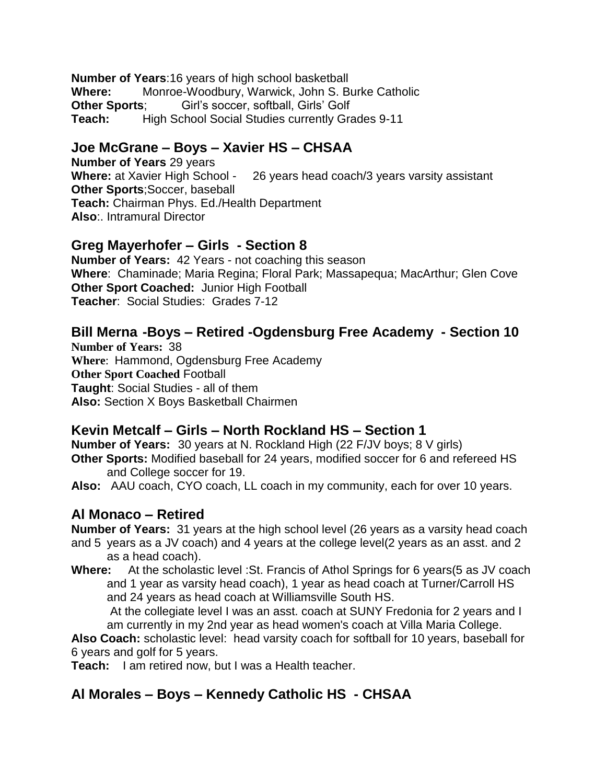**Number of Years**:16 years of high school basketball **Where:** Monroe-Woodbury, Warwick, John S. Burke Catholic **Other Sports;** Girl's soccer, softball, Girls' Golf **Teach:** High School Social Studies currently Grades 9-11

### **Joe McGrane – Boys – Xavier HS – CHSAA**

**Number of Years** 29 years **Where:** at Xavier High School - 26 years head coach/3 years varsity assistant **Other Sports**;Soccer, baseball **Teach:** Chairman Phys. Ed./Health Department **Also**:. Intramural Director

### **Greg Mayerhofer – Girls - Section 8**

**Number of Years:** 42 Years - not coaching this season **Where**: Chaminade; Maria Regina; Floral Park; Massapequa; MacArthur; Glen Cove **Other Sport Coached:** Junior High Football **Teacher**: Social Studies: Grades 7-12

## **Bill Merna -Boys – Retired -Ogdensburg Free Academy - Section 10**

**Number of Years:** 38 **Where**: Hammond, Ogdensburg Free Academy **Other Sport Coached** Football **Taught**: Social Studies - all of them **Also:** Section X Boys Basketball Chairmen

## **Kevin Metcalf – Girls – North Rockland HS – Section 1**

**Number of Years:** 30 years at N. Rockland High (22 F/JV boys; 8 V girls) **Other Sports:** Modified baseball for 24 years, modified soccer for 6 and refereed HS and College soccer for 19.

**Also:** AAU coach, CYO coach, LL coach in my community, each for over 10 years.

## **Al Monaco – Retired**

**Number of Years:** 31 years at the high school level (26 years as a varsity head coach and 5 years as a JV coach) and 4 years at the college level(2 years as an asst. and 2 as a head coach).

**Where:** At the scholastic level :St. Francis of Athol Springs for 6 years(5 as JV coach and 1 year as varsity head coach), 1 year as head coach at Turner/Carroll HS and 24 years as head coach at Williamsville South HS.

 At the collegiate level I was an asst. coach at SUNY Fredonia for 2 years and I am currently in my 2nd year as head women's coach at Villa Maria College.

**Also Coach:** scholastic level: head varsity coach for softball for 10 years, baseball for 6 years and golf for 5 years.

**Teach:** I am retired now, but I was a Health teacher.

## **Al Morales – Boys – Kennedy Catholic HS - CHSAA**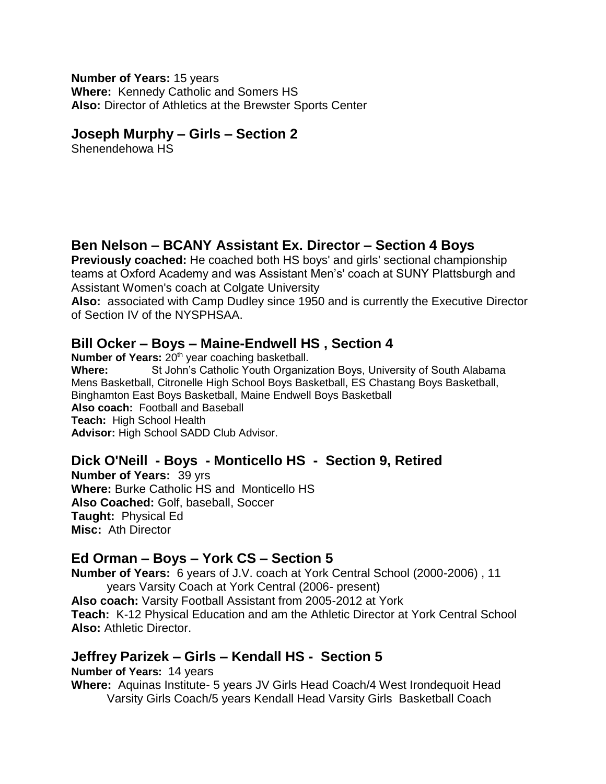#### **Number of Years:** 15 years **Where:** Kennedy Catholic and Somers HS **Also:** Director of Athletics at the Brewster Sports Center

#### **Joseph Murphy – Girls – Section 2**

Shenendehowa HS

## **Ben Nelson – BCANY Assistant Ex. Director – Section 4 Boys**

**Previously coached:** He coached both HS boys' and girls' sectional championship teams at Oxford Academy and was Assistant Men's' coach at SUNY Plattsburgh and Assistant Women's coach at Colgate University

**Also:** associated with Camp Dudley since 1950 and is currently the Executive Director of Section IV of the NYSPHSAA.

### **Bill Ocker – Boys – Maine-Endwell HS , Section 4**

**Number of Years:** 20<sup>th</sup> year coaching basketball. **Where:** St John's Catholic Youth Organization Boys, University of South Alabama Mens Basketball, Citronelle High School Boys Basketball, ES Chastang Boys Basketball, Binghamton East Boys Basketball, Maine Endwell Boys Basketball **Also coach:** Football and Baseball **Teach:** High School Health **Advisor:** High School SADD Club Advisor.

## **Dick O'Neill - Boys - Monticello HS - Section 9, Retired**

**Number of Years:** 39 yrs **Where:** Burke Catholic HS and Monticello HS **Also Coached:** Golf, baseball, Soccer **Taught:** Physical Ed **Misc:** Ath Director

### **Ed Orman – Boys – York CS – Section 5**

**Number of Years:** 6 years of J.V. coach at York Central School (2000-2006) , 11 years Varsity Coach at York Central (2006- present)

**Also coach:** Varsity Football Assistant from 2005-2012 at York **Teach:** K-12 Physical Education and am the Athletic Director at York Central School **Also:** Athletic Director.

## **Jeffrey Parizek – Girls – Kendall HS - Section 5**

**Number of Years:** 14 years **Where:** Aquinas Institute- 5 years JV Girls Head Coach/4 West Irondequoit Head Varsity Girls Coach/5 years Kendall Head Varsity Girls Basketball Coach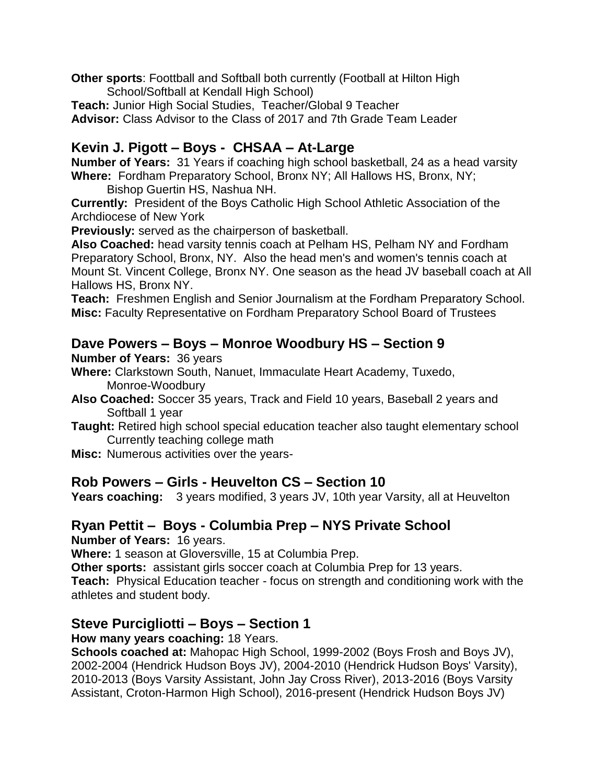**Other sports**: Foottball and Softball both currently (Football at Hilton High School/Softball at Kendall High School) **Teach:** Junior High Social Studies, Teacher/Global 9 Teacher

**Advisor:** Class Advisor to the Class of 2017 and 7th Grade Team Leader

### **Kevin J. Pigott – Boys - CHSAA – At-Large**

**Number of Years:** 31 Years if coaching high school basketball, 24 as a head varsity **Where:** Fordham Preparatory School, Bronx NY; All Hallows HS, Bronx, NY; Bishop Guertin HS, Nashua NH.

**Currently:** President of the Boys Catholic High School Athletic Association of the Archdiocese of New York

**Previously:** served as the chairperson of basketball.

**Also Coached:** head varsity tennis coach at Pelham HS, Pelham NY and Fordham Preparatory School, Bronx, NY. Also the head men's and women's tennis coach at Mount St. Vincent College, Bronx NY. One season as the head JV baseball coach at All Hallows HS, Bronx NY.

**Teach:** Freshmen English and Senior Journalism at the Fordham Preparatory School. **Misc:** Faculty Representative on Fordham Preparatory School Board of Trustees

### **Dave Powers – Boys – Monroe Woodbury HS – Section 9**

#### **Number of Years:** 36 years

- **Where:** Clarkstown South, Nanuet, Immaculate Heart Academy, Tuxedo, Monroe-Woodbury
- **Also Coached:** Soccer 35 years, Track and Field 10 years, Baseball 2 years and Softball 1 year
- **Taught:** Retired high school special education teacher also taught elementary school Currently teaching college math
- **Misc:** Numerous activities over the years-

### **Rob Powers – Girls - Heuvelton CS – Section 10**

**Years coaching:** 3 years modified, 3 years JV, 10th year Varsity, all at Heuvelton

## **Ryan Pettit – Boys - Columbia Prep – NYS Private School**

**Number of Years:** 16 years.

**Where:** 1 season at Gloversville, 15 at Columbia Prep.

**Other sports:** assistant girls soccer coach at Columbia Prep for 13 years.

**Teach:** Physical Education teacher - focus on strength and conditioning work with the athletes and student body.

### **Steve Purcigliotti – Boys – Section 1**

#### **How many years coaching:** 18 Years.

**Schools coached at:** Mahopac High School, 1999-2002 (Boys Frosh and Boys JV), 2002-2004 (Hendrick Hudson Boys JV), 2004-2010 (Hendrick Hudson Boys' Varsity), 2010-2013 (Boys Varsity Assistant, John Jay Cross River), 2013-2016 (Boys Varsity Assistant, Croton-Harmon High School), 2016-present (Hendrick Hudson Boys JV)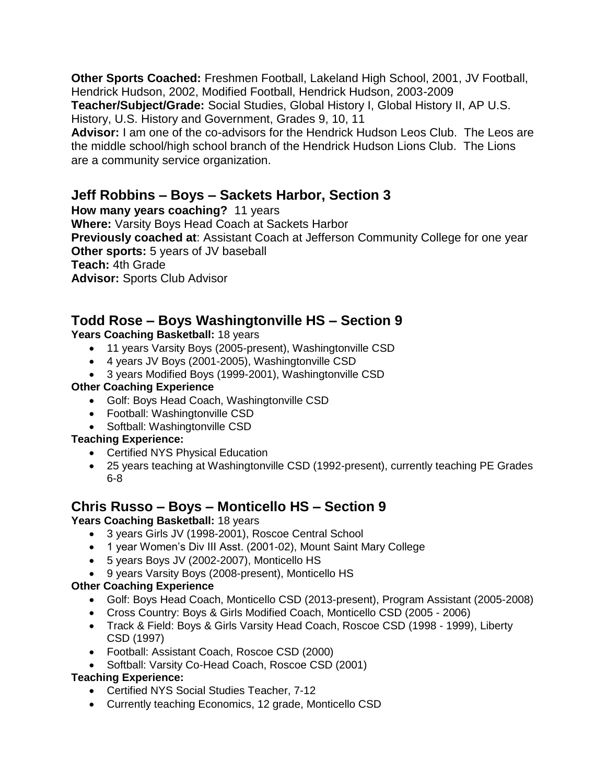**Other Sports Coached:** Freshmen Football, Lakeland High School, 2001, JV Football, Hendrick Hudson, 2002, Modified Football, Hendrick Hudson, 2003-2009

**Teacher/Subject/Grade:** Social Studies, Global History I, Global History II, AP U.S. History, U.S. History and Government, Grades 9, 10, 11

**Advisor:** I am one of the co-advisors for the Hendrick Hudson Leos Club. The Leos are the middle school/high school branch of the Hendrick Hudson Lions Club. The Lions are a community service organization.

### **Jeff Robbins – Boys – Sackets Harbor, Section 3**

**How many years coaching?** 11 years

**Where:** Varsity Boys Head Coach at Sackets Harbor

**Previously coached at**: Assistant Coach at Jefferson Community College for one year **Other sports:** 5 years of JV baseball

**Teach:** 4th Grade

**Advisor:** Sports Club Advisor

## **Todd Rose – Boys Washingtonville HS – Section 9**

#### Years Coaching Basketball: 18 years

- 11 years Varsity Boys (2005-present), Washingtonville CSD
- 4 years JV Boys (2001-2005), Washingtonville CSD
- 3 years Modified Boys (1999-2001), Washingtonville CSD

#### **Other Coaching Experience**

- Golf: Boys Head Coach, Washingtonville CSD
- Football: Washingtonville CSD
- Softball: Washingtonville CSD

#### **Teaching Experience:**

- Certified NYS Physical Education
- 25 years teaching at Washingtonville CSD (1992-present), currently teaching PE Grades 6-8

## **Chris Russo – Boys – Monticello HS – Section 9**

#### Years Coaching Basketball: 18 years

- 3 years Girls JV (1998-2001), Roscoe Central School
- 1 year Women's Div III Asst. (2001-02), Mount Saint Mary College
- 5 years Boys JV (2002-2007), Monticello HS
- 9 years Varsity Boys (2008-present), Monticello HS

#### **Other Coaching Experience**

- Golf: Boys Head Coach, Monticello CSD (2013-present), Program Assistant (2005-2008)
- Cross Country: Boys & Girls Modified Coach, Monticello CSD (2005 2006)
- Track & Field: Boys & Girls Varsity Head Coach, Roscoe CSD (1998 1999), Liberty CSD (1997)
- Football: Assistant Coach, Roscoe CSD (2000)
- Softball: Varsity Co-Head Coach, Roscoe CSD (2001)

#### **Teaching Experience:**

- Certified NYS Social Studies Teacher, 7-12
- Currently teaching Economics, 12 grade, Monticello CSD